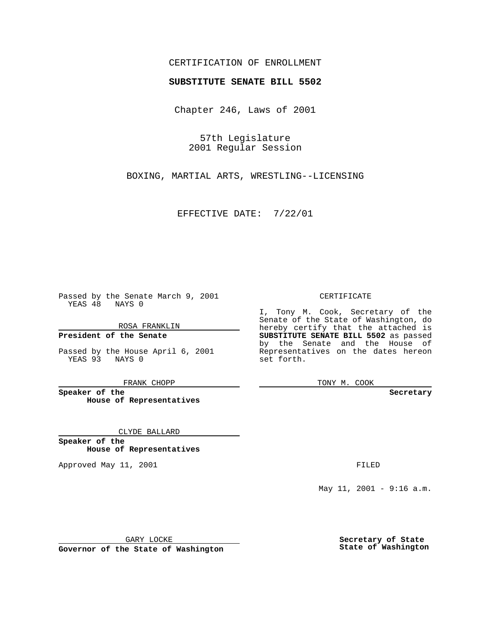### CERTIFICATION OF ENROLLMENT

# **SUBSTITUTE SENATE BILL 5502**

Chapter 246, Laws of 2001

57th Legislature 2001 Regular Session

BOXING, MARTIAL ARTS, WRESTLING--LICENSING

EFFECTIVE DATE: 7/22/01

Passed by the Senate March 9, 2001 YEAS 48 NAYS 0

ROSA FRANKLIN

**President of the Senate**

Passed by the House April 6, 2001 YEAS 93 NAYS 0

FRANK CHOPP

**Speaker of the House of Representatives**

CLYDE BALLARD

**Speaker of the House of Representatives**

Approved May 11, 2001 **FILED** 

### CERTIFICATE

I, Tony M. Cook, Secretary of the Senate of the State of Washington, do hereby certify that the attached is **SUBSTITUTE SENATE BILL 5502** as passed by the Senate and the House of Representatives on the dates hereon set forth.

TONY M. COOK

#### **Secretary**

May 11, 2001 - 9:16 a.m.

GARY LOCKE

**Governor of the State of Washington**

**Secretary of State State of Washington**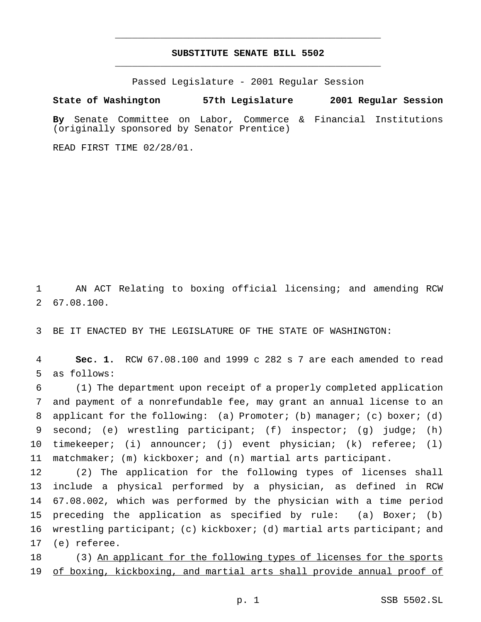## **SUBSTITUTE SENATE BILL 5502** \_\_\_\_\_\_\_\_\_\_\_\_\_\_\_\_\_\_\_\_\_\_\_\_\_\_\_\_\_\_\_\_\_\_\_\_\_\_\_\_\_\_\_\_\_\_\_

\_\_\_\_\_\_\_\_\_\_\_\_\_\_\_\_\_\_\_\_\_\_\_\_\_\_\_\_\_\_\_\_\_\_\_\_\_\_\_\_\_\_\_\_\_\_\_

Passed Legislature - 2001 Regular Session

**State of Washington 57th Legislature 2001 Regular Session By** Senate Committee on Labor, Commerce & Financial Institutions (originally sponsored by Senator Prentice)

READ FIRST TIME 02/28/01.

 AN ACT Relating to boxing official licensing; and amending RCW 67.08.100.

BE IT ENACTED BY THE LEGISLATURE OF THE STATE OF WASHINGTON:

 **Sec. 1.** RCW 67.08.100 and 1999 c 282 s 7 are each amended to read as follows:

 (1) The department upon receipt of a properly completed application and payment of a nonrefundable fee, may grant an annual license to an applicant for the following: (a) Promoter; (b) manager; (c) boxer; (d) second; (e) wrestling participant; (f) inspector; (g) judge; (h) timekeeper; (i) announcer; (j) event physician; (k) referee; (l) matchmaker; (m) kickboxer; and (n) martial arts participant.

 (2) The application for the following types of licenses shall include a physical performed by a physician, as defined in RCW 67.08.002, which was performed by the physician with a time period preceding the application as specified by rule: (a) Boxer; (b) wrestling participant; (c) kickboxer; (d) martial arts participant; and (e) referee.

18 (3) An applicant for the following types of licenses for the sports of boxing, kickboxing, and martial arts shall provide annual proof of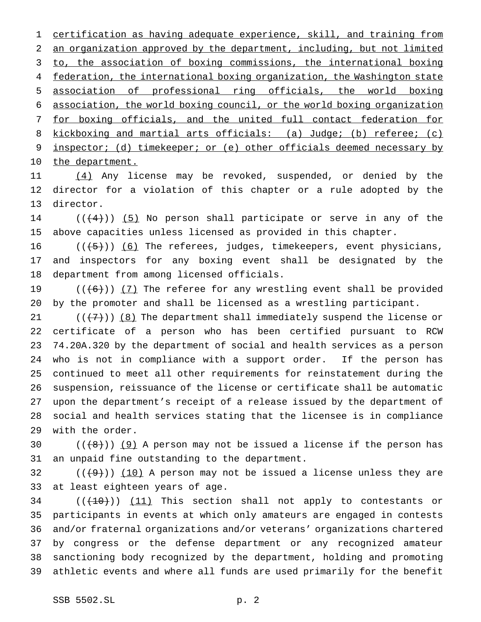certification as having adequate experience, skill, and training from an organization approved by the department, including, but not limited to, the association of boxing commissions, the international boxing 4 federation, the international boxing organization, the Washington state association of professional ring officials, the world boxing association, the world boxing council, or the world boxing organization for boxing officials, and the united full contact federation for 8 kickboxing and martial arts officials: (a) Judge; (b) referee; (c) inspector; (d) timekeeper; or (e) other officials deemed necessary by 10 the department.

 (4) Any license may be revoked, suspended, or denied by the director for a violation of this chapter or a rule adopted by the director.

14  $((+4))$  (5) No person shall participate or serve in any of the above capacities unless licensed as provided in this chapter.

16  $((+5))$   $(6)$  The referees, judges, timekeepers, event physicians, and inspectors for any boxing event shall be designated by the department from among licensed officials.

19  $((+6))$   $(7)$  The referee for any wrestling event shall be provided by the promoter and shall be licensed as a wrestling participant.

 $((+7))$  (8) The department shall immediately suspend the license or certificate of a person who has been certified pursuant to RCW 74.20A.320 by the department of social and health services as a person who is not in compliance with a support order. If the person has continued to meet all other requirements for reinstatement during the suspension, reissuance of the license or certificate shall be automatic upon the department's receipt of a release issued by the department of social and health services stating that the licensee is in compliance with the order.

30  $((+8))$  (9) A person may not be issued a license if the person has an unpaid fine outstanding to the department.

32  $((+9))$  (10) A person may not be issued a license unless they are at least eighteen years of age.

34 (( $(10)$ )) (11) This section shall not apply to contestants or participants in events at which only amateurs are engaged in contests and/or fraternal organizations and/or veterans' organizations chartered by congress or the defense department or any recognized amateur sanctioning body recognized by the department, holding and promoting athletic events and where all funds are used primarily for the benefit